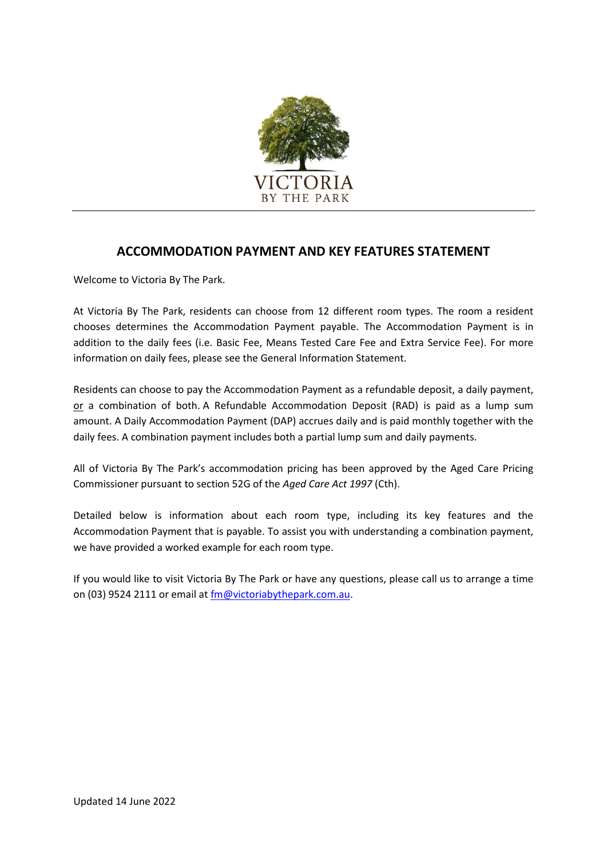

## **ACCOMMODATION PAYMENT AND KEY FEATURES STATEMENT**

Welcome to Victoria By The Park.

At Victoria By The Park, residents can choose from 12 different room types. The room a resident chooses determines the Accommodation Payment payable. The Accommodation Payment is in addition to the daily fees (i.e. Basic Fee, Means Tested Care Fee and Extra Service Fee). For more information on daily fees, please see the General Information Statement.

Residents can choose to pay the Accommodation Payment as a refundable deposit, a daily payment, or a combination of both. A Refundable Accommodation Deposit (RAD) is paid as a lump sum amount. A Daily Accommodation Payment (DAP) accrues daily and is paid monthly together with the daily fees. A combination payment includes both a partial lump sum and daily payments.

All of Victoria By The Park's accommodation pricing has been approved by the Aged Care Pricing Commissioner pursuant to section 52G of the *Aged Care Act 1997* (Cth).

Detailed below is information about each room type, including its key features and the Accommodation Payment that is payable. To assist you with understanding a combination payment, we have provided a worked example for each room type.

If you would like to visit Victoria By The Park or have any questions, please call us to arrange a time on (03) 9524 2111 or email at [fm@victoriabythepark.com.au.](mailto:fm@victoriabythepark.com.au)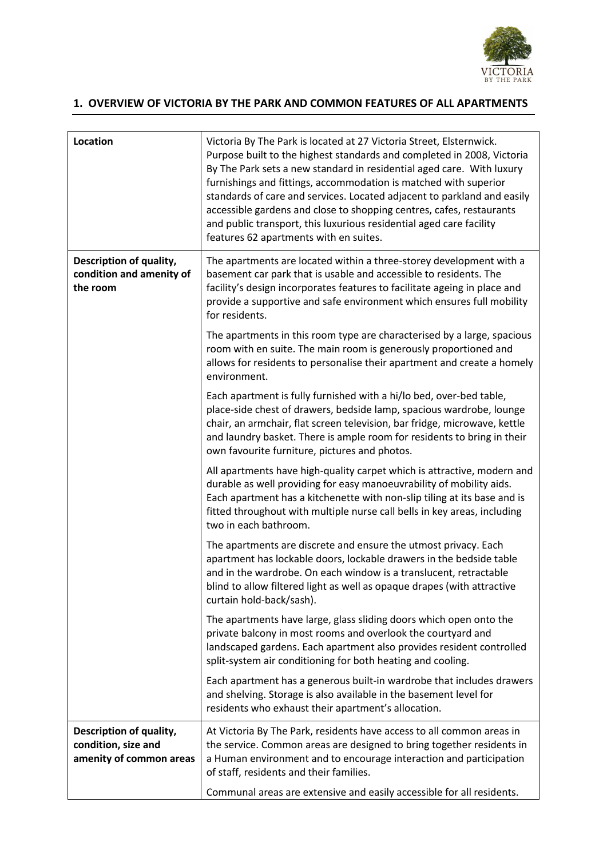

## **1. OVERVIEW OF VICTORIA BY THE PARK AND COMMON FEATURES OF ALL APARTMENTS**

| <b>Location</b>                                                           | Victoria By The Park is located at 27 Victoria Street, Elsternwick.<br>Purpose built to the highest standards and completed in 2008, Victoria<br>By The Park sets a new standard in residential aged care. With luxury<br>furnishings and fittings, accommodation is matched with superior<br>standards of care and services. Located adjacent to parkland and easily<br>accessible gardens and close to shopping centres, cafes, restaurants<br>and public transport, this luxurious residential aged care facility<br>features 62 apartments with en suites. |
|---------------------------------------------------------------------------|----------------------------------------------------------------------------------------------------------------------------------------------------------------------------------------------------------------------------------------------------------------------------------------------------------------------------------------------------------------------------------------------------------------------------------------------------------------------------------------------------------------------------------------------------------------|
| Description of quality,<br>condition and amenity of<br>the room           | The apartments are located within a three-storey development with a<br>basement car park that is usable and accessible to residents. The<br>facility's design incorporates features to facilitate ageing in place and<br>provide a supportive and safe environment which ensures full mobility<br>for residents.                                                                                                                                                                                                                                               |
|                                                                           | The apartments in this room type are characterised by a large, spacious<br>room with en suite. The main room is generously proportioned and<br>allows for residents to personalise their apartment and create a homely<br>environment.                                                                                                                                                                                                                                                                                                                         |
|                                                                           | Each apartment is fully furnished with a hi/lo bed, over-bed table,<br>place-side chest of drawers, bedside lamp, spacious wardrobe, lounge<br>chair, an armchair, flat screen television, bar fridge, microwave, kettle<br>and laundry basket. There is ample room for residents to bring in their<br>own favourite furniture, pictures and photos.                                                                                                                                                                                                           |
|                                                                           | All apartments have high-quality carpet which is attractive, modern and<br>durable as well providing for easy manoeuvrability of mobility aids.<br>Each apartment has a kitchenette with non-slip tiling at its base and is<br>fitted throughout with multiple nurse call bells in key areas, including<br>two in each bathroom.                                                                                                                                                                                                                               |
|                                                                           | The apartments are discrete and ensure the utmost privacy. Each<br>apartment has lockable doors, lockable drawers in the bedside table<br>and in the wardrobe. On each window is a translucent, retractable<br>blind to allow filtered light as well as opaque drapes (with attractive<br>curtain hold-back/sash).                                                                                                                                                                                                                                             |
|                                                                           | The apartments have large, glass sliding doors which open onto the<br>private balcony in most rooms and overlook the courtyard and<br>landscaped gardens. Each apartment also provides resident controlled<br>split-system air conditioning for both heating and cooling.                                                                                                                                                                                                                                                                                      |
|                                                                           | Each apartment has a generous built-in wardrobe that includes drawers<br>and shelving. Storage is also available in the basement level for<br>residents who exhaust their apartment's allocation.                                                                                                                                                                                                                                                                                                                                                              |
| Description of quality,<br>condition, size and<br>amenity of common areas | At Victoria By The Park, residents have access to all common areas in<br>the service. Common areas are designed to bring together residents in<br>a Human environment and to encourage interaction and participation<br>of staff, residents and their families.                                                                                                                                                                                                                                                                                                |
|                                                                           | Communal areas are extensive and easily accessible for all residents.                                                                                                                                                                                                                                                                                                                                                                                                                                                                                          |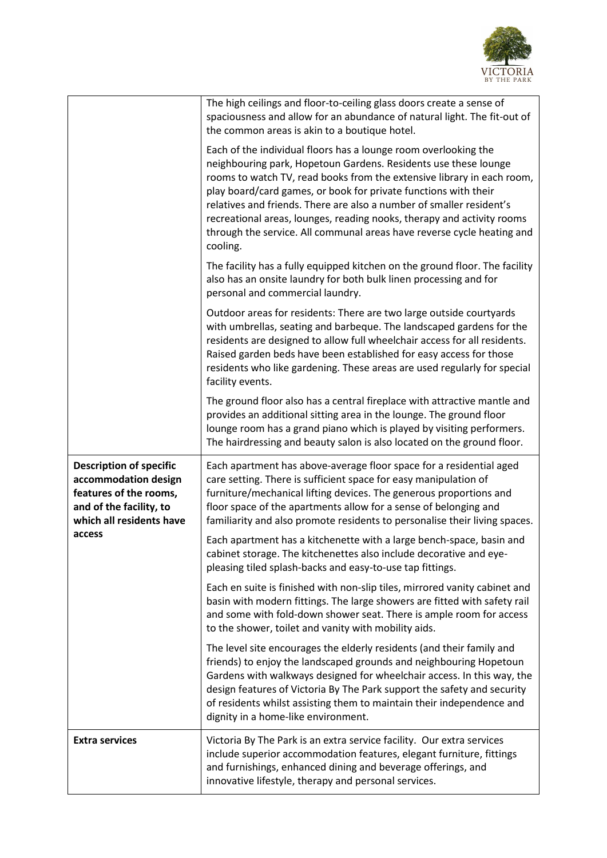

|                                                                                                                                         | The high ceilings and floor-to-ceiling glass doors create a sense of<br>spaciousness and allow for an abundance of natural light. The fit-out of<br>the common areas is akin to a boutique hotel.                                                                                                                                                                                                                                                                                                                       |
|-----------------------------------------------------------------------------------------------------------------------------------------|-------------------------------------------------------------------------------------------------------------------------------------------------------------------------------------------------------------------------------------------------------------------------------------------------------------------------------------------------------------------------------------------------------------------------------------------------------------------------------------------------------------------------|
|                                                                                                                                         | Each of the individual floors has a lounge room overlooking the<br>neighbouring park, Hopetoun Gardens. Residents use these lounge<br>rooms to watch TV, read books from the extensive library in each room,<br>play board/card games, or book for private functions with their<br>relatives and friends. There are also a number of smaller resident's<br>recreational areas, lounges, reading nooks, therapy and activity rooms<br>through the service. All communal areas have reverse cycle heating and<br>cooling. |
|                                                                                                                                         | The facility has a fully equipped kitchen on the ground floor. The facility<br>also has an onsite laundry for both bulk linen processing and for<br>personal and commercial laundry.                                                                                                                                                                                                                                                                                                                                    |
|                                                                                                                                         | Outdoor areas for residents: There are two large outside courtyards<br>with umbrellas, seating and barbeque. The landscaped gardens for the<br>residents are designed to allow full wheelchair access for all residents.<br>Raised garden beds have been established for easy access for those<br>residents who like gardening. These areas are used regularly for special<br>facility events.                                                                                                                          |
|                                                                                                                                         | The ground floor also has a central fireplace with attractive mantle and<br>provides an additional sitting area in the lounge. The ground floor<br>lounge room has a grand piano which is played by visiting performers.<br>The hairdressing and beauty salon is also located on the ground floor.                                                                                                                                                                                                                      |
| <b>Description of specific</b><br>accommodation design<br>features of the rooms,<br>and of the facility, to<br>which all residents have | Each apartment has above-average floor space for a residential aged<br>care setting. There is sufficient space for easy manipulation of<br>furniture/mechanical lifting devices. The generous proportions and<br>floor space of the apartments allow for a sense of belonging and<br>familiarity and also promote residents to personalise their living spaces.                                                                                                                                                         |
| access                                                                                                                                  | Each apartment has a kitchenette with a large bench-space, basin and<br>cabinet storage. The kitchenettes also include decorative and eye-<br>pleasing tiled splash-backs and easy-to-use tap fittings.                                                                                                                                                                                                                                                                                                                 |
|                                                                                                                                         | Each en suite is finished with non-slip tiles, mirrored vanity cabinet and<br>basin with modern fittings. The large showers are fitted with safety rail<br>and some with fold-down shower seat. There is ample room for access<br>to the shower, toilet and vanity with mobility aids.                                                                                                                                                                                                                                  |
|                                                                                                                                         | The level site encourages the elderly residents (and their family and<br>friends) to enjoy the landscaped grounds and neighbouring Hopetoun<br>Gardens with walkways designed for wheelchair access. In this way, the<br>design features of Victoria By The Park support the safety and security<br>of residents whilst assisting them to maintain their independence and<br>dignity in a home-like environment.                                                                                                        |
| <b>Extra services</b>                                                                                                                   | Victoria By The Park is an extra service facility. Our extra services<br>include superior accommodation features, elegant furniture, fittings<br>and furnishings, enhanced dining and beverage offerings, and<br>innovative lifestyle, therapy and personal services.                                                                                                                                                                                                                                                   |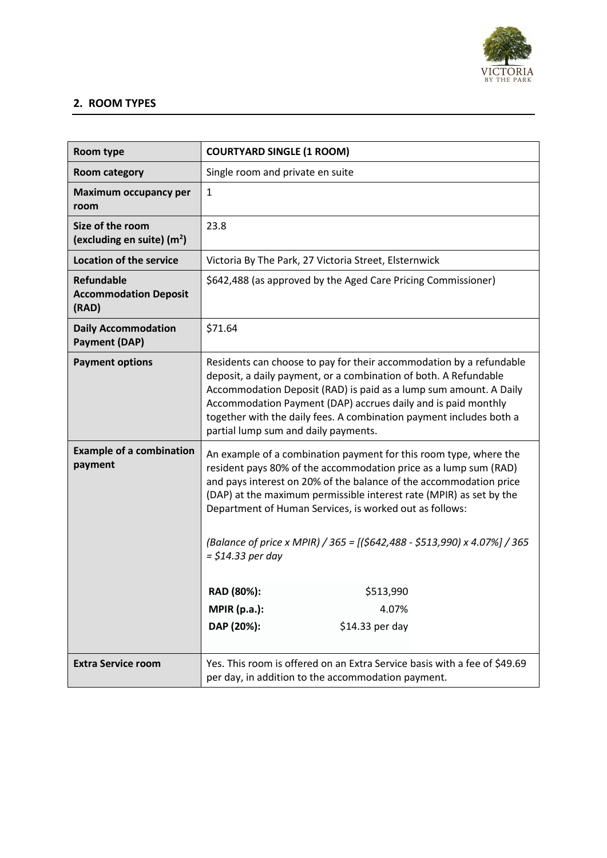

## **2. ROOM TYPES**

| Room type                                                  | <b>COURTYARD SINGLE (1 ROOM)</b>                                                                                                                                                                                                                                                                                                                                                                                                                                                                           |
|------------------------------------------------------------|------------------------------------------------------------------------------------------------------------------------------------------------------------------------------------------------------------------------------------------------------------------------------------------------------------------------------------------------------------------------------------------------------------------------------------------------------------------------------------------------------------|
| Room category                                              | Single room and private en suite                                                                                                                                                                                                                                                                                                                                                                                                                                                                           |
| Maximum occupancy per<br>room                              | $\mathbf{1}$                                                                                                                                                                                                                                                                                                                                                                                                                                                                                               |
| Size of the room<br>(excluding en suite) $(m2)$            | 23.8                                                                                                                                                                                                                                                                                                                                                                                                                                                                                                       |
| <b>Location of the service</b>                             | Victoria By The Park, 27 Victoria Street, Elsternwick                                                                                                                                                                                                                                                                                                                                                                                                                                                      |
| <b>Refundable</b><br><b>Accommodation Deposit</b><br>(RAD) | \$642,488 (as approved by the Aged Care Pricing Commissioner)                                                                                                                                                                                                                                                                                                                                                                                                                                              |
| <b>Daily Accommodation</b><br><b>Payment (DAP)</b>         | \$71.64                                                                                                                                                                                                                                                                                                                                                                                                                                                                                                    |
| <b>Payment options</b>                                     | Residents can choose to pay for their accommodation by a refundable<br>deposit, a daily payment, or a combination of both. A Refundable<br>Accommodation Deposit (RAD) is paid as a lump sum amount. A Daily<br>Accommodation Payment (DAP) accrues daily and is paid monthly<br>together with the daily fees. A combination payment includes both a<br>partial lump sum and daily payments.                                                                                                               |
| <b>Example of a combination</b><br>payment                 | An example of a combination payment for this room type, where the<br>resident pays 80% of the accommodation price as a lump sum (RAD)<br>and pays interest on 20% of the balance of the accommodation price<br>(DAP) at the maximum permissible interest rate (MPIR) as set by the<br>Department of Human Services, is worked out as follows:<br>(Balance of price x MPIR) / 365 = [(\$642,488 - \$513,990) x 4.07%] / 365<br>= \$14.33 per day<br>RAD (80%):<br>\$513,990<br><b>MPIR (p.a.):</b><br>4.07% |
|                                                            | DAP (20%):<br>\$14.33 per day                                                                                                                                                                                                                                                                                                                                                                                                                                                                              |
| <b>Extra Service room</b>                                  | Yes. This room is offered on an Extra Service basis with a fee of \$49.69<br>per day, in addition to the accommodation payment.                                                                                                                                                                                                                                                                                                                                                                            |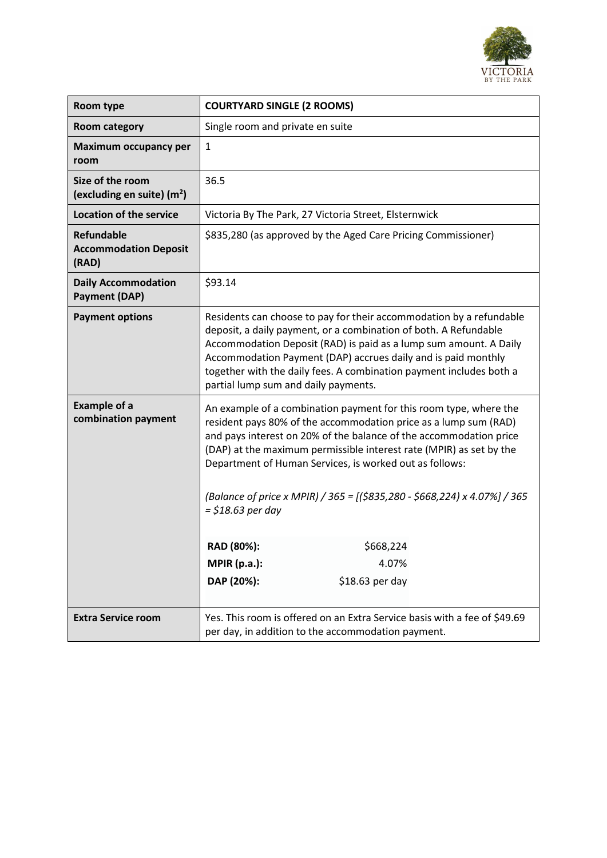

| Room type                                                  | <b>COURTYARD SINGLE (2 ROOMS)</b>                                                                                                                                                                                                                                                                                                                                                                                                                                                                                                             |
|------------------------------------------------------------|-----------------------------------------------------------------------------------------------------------------------------------------------------------------------------------------------------------------------------------------------------------------------------------------------------------------------------------------------------------------------------------------------------------------------------------------------------------------------------------------------------------------------------------------------|
| <b>Room category</b>                                       | Single room and private en suite                                                                                                                                                                                                                                                                                                                                                                                                                                                                                                              |
| <b>Maximum occupancy per</b><br>room                       | 1                                                                                                                                                                                                                                                                                                                                                                                                                                                                                                                                             |
| Size of the room<br>(excluding en suite) $(m2)$            | 36.5                                                                                                                                                                                                                                                                                                                                                                                                                                                                                                                                          |
| <b>Location of the service</b>                             | Victoria By The Park, 27 Victoria Street, Elsternwick                                                                                                                                                                                                                                                                                                                                                                                                                                                                                         |
| <b>Refundable</b><br><b>Accommodation Deposit</b><br>(RAD) | \$835,280 (as approved by the Aged Care Pricing Commissioner)                                                                                                                                                                                                                                                                                                                                                                                                                                                                                 |
| <b>Daily Accommodation</b><br><b>Payment (DAP)</b>         | \$93.14                                                                                                                                                                                                                                                                                                                                                                                                                                                                                                                                       |
| <b>Payment options</b>                                     | Residents can choose to pay for their accommodation by a refundable<br>deposit, a daily payment, or a combination of both. A Refundable<br>Accommodation Deposit (RAD) is paid as a lump sum amount. A Daily<br>Accommodation Payment (DAP) accrues daily and is paid monthly<br>together with the daily fees. A combination payment includes both a<br>partial lump sum and daily payments.                                                                                                                                                  |
| <b>Example of a</b><br>combination payment                 | An example of a combination payment for this room type, where the<br>resident pays 80% of the accommodation price as a lump sum (RAD)<br>and pays interest on 20% of the balance of the accommodation price<br>(DAP) at the maximum permissible interest rate (MPIR) as set by the<br>Department of Human Services, is worked out as follows:<br>(Balance of price x MPIR) / 365 = [(\$835,280 - \$668,224) x 4.07%] / 365<br>$=$ \$18.63 per day<br>RAD (80%):<br>\$668,224<br><b>MPIR (p.a.):</b><br>4.07%<br>DAP (20%):<br>\$18.63 per day |
|                                                            |                                                                                                                                                                                                                                                                                                                                                                                                                                                                                                                                               |
| <b>Extra Service room</b>                                  | Yes. This room is offered on an Extra Service basis with a fee of \$49.69<br>per day, in addition to the accommodation payment.                                                                                                                                                                                                                                                                                                                                                                                                               |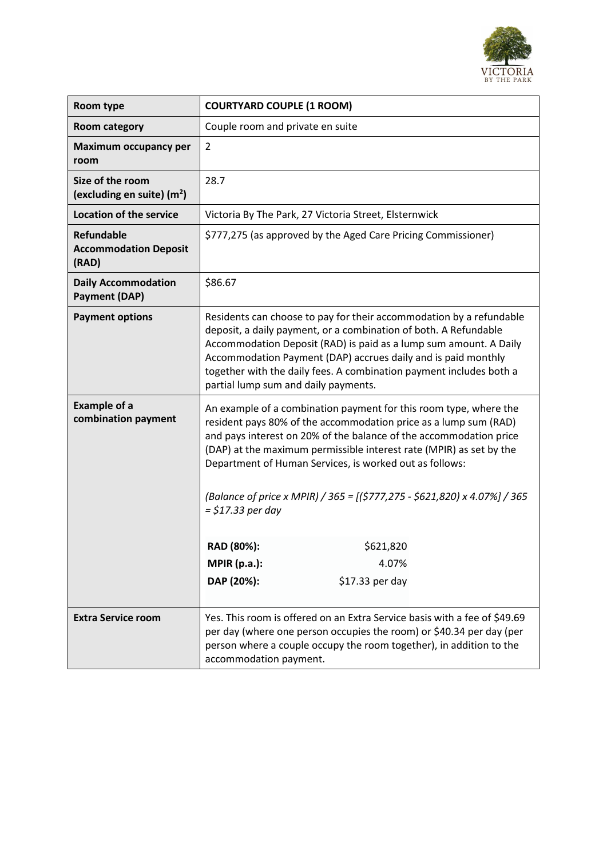

| Room type                                                  | <b>COURTYARD COUPLE (1 ROOM)</b>                                                                                                                                                                                                                                                                                                                                                                                                                                                                                                            |
|------------------------------------------------------------|---------------------------------------------------------------------------------------------------------------------------------------------------------------------------------------------------------------------------------------------------------------------------------------------------------------------------------------------------------------------------------------------------------------------------------------------------------------------------------------------------------------------------------------------|
| <b>Room category</b>                                       | Couple room and private en suite                                                                                                                                                                                                                                                                                                                                                                                                                                                                                                            |
| <b>Maximum occupancy per</b><br>room                       | $\overline{2}$                                                                                                                                                                                                                                                                                                                                                                                                                                                                                                                              |
| Size of the room<br>(excluding en suite) $(m2)$            | 28.7                                                                                                                                                                                                                                                                                                                                                                                                                                                                                                                                        |
| <b>Location of the service</b>                             | Victoria By The Park, 27 Victoria Street, Elsternwick                                                                                                                                                                                                                                                                                                                                                                                                                                                                                       |
| <b>Refundable</b><br><b>Accommodation Deposit</b><br>(RAD) | \$777,275 (as approved by the Aged Care Pricing Commissioner)                                                                                                                                                                                                                                                                                                                                                                                                                                                                               |
| <b>Daily Accommodation</b><br><b>Payment (DAP)</b>         | \$86.67                                                                                                                                                                                                                                                                                                                                                                                                                                                                                                                                     |
| <b>Payment options</b>                                     | Residents can choose to pay for their accommodation by a refundable<br>deposit, a daily payment, or a combination of both. A Refundable<br>Accommodation Deposit (RAD) is paid as a lump sum amount. A Daily<br>Accommodation Payment (DAP) accrues daily and is paid monthly<br>together with the daily fees. A combination payment includes both a<br>partial lump sum and daily payments.                                                                                                                                                |
| <b>Example of a</b><br>combination payment                 | An example of a combination payment for this room type, where the<br>resident pays 80% of the accommodation price as a lump sum (RAD)<br>and pays interest on 20% of the balance of the accommodation price<br>(DAP) at the maximum permissible interest rate (MPIR) as set by the<br>Department of Human Services, is worked out as follows:<br>(Balance of price x MPIR) / 365 = [(\$777,275 - \$621,820) x 4.07%] / 365<br>= \$17.33 per day<br>RAD (80%):<br>\$621,820<br><b>MPIR (p.a.):</b><br>4.07%<br>DAP (20%):<br>\$17.33 per day |
|                                                            |                                                                                                                                                                                                                                                                                                                                                                                                                                                                                                                                             |
| <b>Extra Service room</b>                                  | Yes. This room is offered on an Extra Service basis with a fee of \$49.69<br>per day (where one person occupies the room) or \$40.34 per day (per<br>person where a couple occupy the room together), in addition to the<br>accommodation payment.                                                                                                                                                                                                                                                                                          |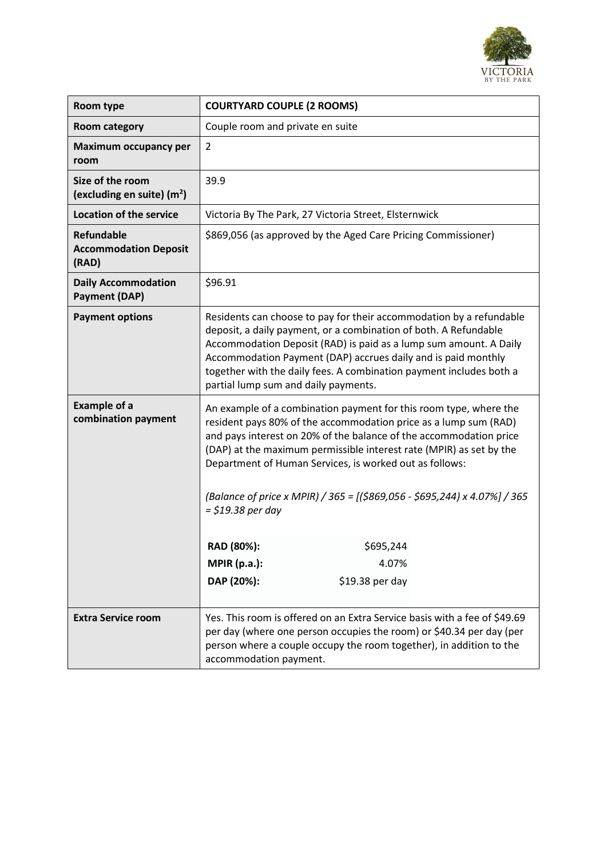

| Room type                                                  | <b>COURTYARD COUPLE (2 ROOMS)</b>                                                                                                                                                                                                                                                                                                                                                                                                                                                                          |
|------------------------------------------------------------|------------------------------------------------------------------------------------------------------------------------------------------------------------------------------------------------------------------------------------------------------------------------------------------------------------------------------------------------------------------------------------------------------------------------------------------------------------------------------------------------------------|
| <b>Room category</b>                                       | Couple room and private en suite                                                                                                                                                                                                                                                                                                                                                                                                                                                                           |
| <b>Maximum occupancy per</b><br>room                       | $\overline{2}$                                                                                                                                                                                                                                                                                                                                                                                                                                                                                             |
| Size of the room<br>(excluding en suite) $(m2)$            | 39.9                                                                                                                                                                                                                                                                                                                                                                                                                                                                                                       |
| <b>Location of the service</b>                             | Victoria By The Park, 27 Victoria Street, Elsternwick                                                                                                                                                                                                                                                                                                                                                                                                                                                      |
| <b>Refundable</b><br><b>Accommodation Deposit</b><br>(RAD) | \$869,056 (as approved by the Aged Care Pricing Commissioner)                                                                                                                                                                                                                                                                                                                                                                                                                                              |
| <b>Daily Accommodation</b><br><b>Payment (DAP)</b>         | \$96.91                                                                                                                                                                                                                                                                                                                                                                                                                                                                                                    |
| <b>Payment options</b>                                     | Residents can choose to pay for their accommodation by a refundable<br>deposit, a daily payment, or a combination of both. A Refundable<br>Accommodation Deposit (RAD) is paid as a lump sum amount. A Daily<br>Accommodation Payment (DAP) accrues daily and is paid monthly<br>together with the daily fees. A combination payment includes both a<br>partial lump sum and daily payments.                                                                                                               |
| <b>Example of a</b><br>combination payment                 | An example of a combination payment for this room type, where the<br>resident pays 80% of the accommodation price as a lump sum (RAD)<br>and pays interest on 20% of the balance of the accommodation price<br>(DAP) at the maximum permissible interest rate (MPIR) as set by the<br>Department of Human Services, is worked out as follows:<br>(Balance of price x MPIR) / 365 = [(\$869,056 - \$695,244) x 4.07%] / 365<br>= \$19.38 per day<br>\$695,244<br>RAD (80%):<br><b>MPIR (p.a.):</b><br>4.07% |
|                                                            | DAP (20%):<br>\$19.38 per day                                                                                                                                                                                                                                                                                                                                                                                                                                                                              |
| <b>Extra Service room</b>                                  | Yes. This room is offered on an Extra Service basis with a fee of \$49.69<br>per day (where one person occupies the room) or \$40.34 per day (per<br>person where a couple occupy the room together), in addition to the<br>accommodation payment.                                                                                                                                                                                                                                                         |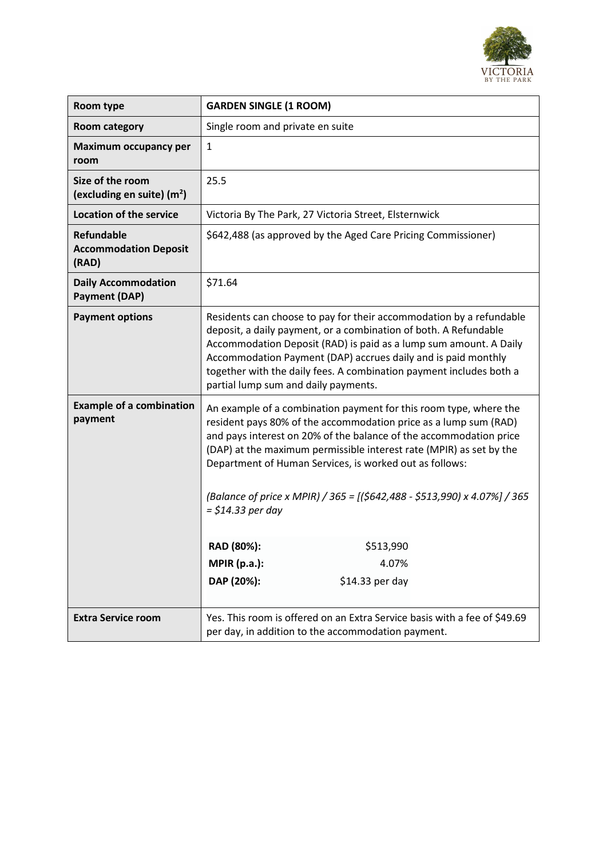

| Room type                                                  | <b>GARDEN SINGLE (1 ROOM)</b>                                                                                                                                                                                                                                                                                                                                                                                                                                                                                                                 |
|------------------------------------------------------------|-----------------------------------------------------------------------------------------------------------------------------------------------------------------------------------------------------------------------------------------------------------------------------------------------------------------------------------------------------------------------------------------------------------------------------------------------------------------------------------------------------------------------------------------------|
| <b>Room category</b>                                       | Single room and private en suite                                                                                                                                                                                                                                                                                                                                                                                                                                                                                                              |
| <b>Maximum occupancy per</b><br>room                       | $\mathbf{1}$                                                                                                                                                                                                                                                                                                                                                                                                                                                                                                                                  |
| Size of the room<br>(excluding en suite) $(m2)$            | 25.5                                                                                                                                                                                                                                                                                                                                                                                                                                                                                                                                          |
| <b>Location of the service</b>                             | Victoria By The Park, 27 Victoria Street, Elsternwick                                                                                                                                                                                                                                                                                                                                                                                                                                                                                         |
| <b>Refundable</b><br><b>Accommodation Deposit</b><br>(RAD) | \$642,488 (as approved by the Aged Care Pricing Commissioner)                                                                                                                                                                                                                                                                                                                                                                                                                                                                                 |
| <b>Daily Accommodation</b><br><b>Payment (DAP)</b>         | \$71.64                                                                                                                                                                                                                                                                                                                                                                                                                                                                                                                                       |
| <b>Payment options</b>                                     | Residents can choose to pay for their accommodation by a refundable<br>deposit, a daily payment, or a combination of both. A Refundable<br>Accommodation Deposit (RAD) is paid as a lump sum amount. A Daily<br>Accommodation Payment (DAP) accrues daily and is paid monthly<br>together with the daily fees. A combination payment includes both a<br>partial lump sum and daily payments.                                                                                                                                                  |
| <b>Example of a combination</b><br>payment                 | An example of a combination payment for this room type, where the<br>resident pays 80% of the accommodation price as a lump sum (RAD)<br>and pays interest on 20% of the balance of the accommodation price<br>(DAP) at the maximum permissible interest rate (MPIR) as set by the<br>Department of Human Services, is worked out as follows:<br>(Balance of price x MPIR) / 365 = [(\$642,488 - \$513,990) x 4.07%] / 365<br>$=$ \$14.33 per day<br>RAD (80%):<br>\$513,990<br><b>MPIR (p.a.):</b><br>4.07%<br>DAP (20%):<br>\$14.33 per day |
|                                                            |                                                                                                                                                                                                                                                                                                                                                                                                                                                                                                                                               |
| <b>Extra Service room</b>                                  | Yes. This room is offered on an Extra Service basis with a fee of \$49.69<br>per day, in addition to the accommodation payment.                                                                                                                                                                                                                                                                                                                                                                                                               |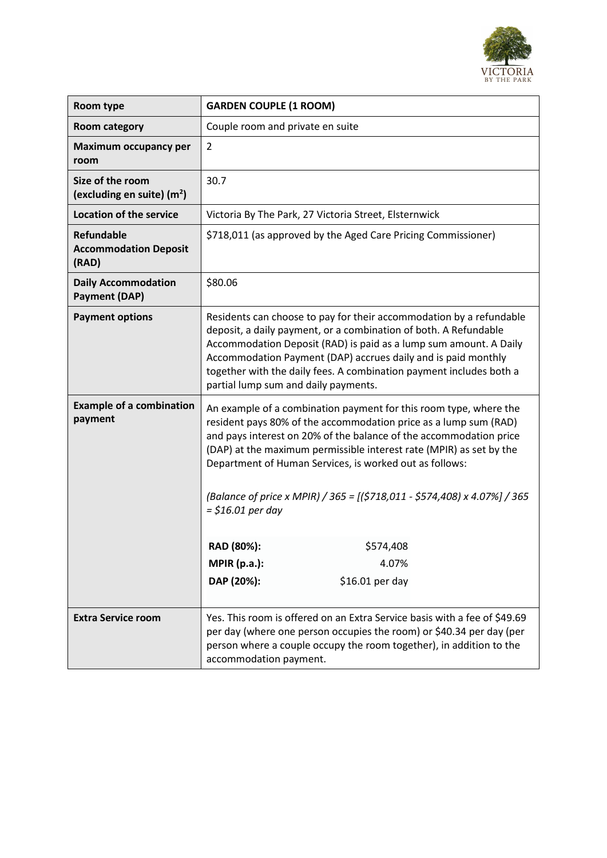

| Room type                                                  | <b>GARDEN COUPLE (1 ROOM)</b>                                                                                                                                                                                                                                                                                                                                                                                                                                                                                |
|------------------------------------------------------------|--------------------------------------------------------------------------------------------------------------------------------------------------------------------------------------------------------------------------------------------------------------------------------------------------------------------------------------------------------------------------------------------------------------------------------------------------------------------------------------------------------------|
| <b>Room category</b>                                       | Couple room and private en suite                                                                                                                                                                                                                                                                                                                                                                                                                                                                             |
| <b>Maximum occupancy per</b><br>room                       | $\overline{2}$                                                                                                                                                                                                                                                                                                                                                                                                                                                                                               |
| Size of the room<br>(excluding en suite) $(m2)$            | 30.7                                                                                                                                                                                                                                                                                                                                                                                                                                                                                                         |
| <b>Location of the service</b>                             | Victoria By The Park, 27 Victoria Street, Elsternwick                                                                                                                                                                                                                                                                                                                                                                                                                                                        |
| <b>Refundable</b><br><b>Accommodation Deposit</b><br>(RAD) | \$718,011 (as approved by the Aged Care Pricing Commissioner)                                                                                                                                                                                                                                                                                                                                                                                                                                                |
| <b>Daily Accommodation</b><br><b>Payment (DAP)</b>         | \$80.06                                                                                                                                                                                                                                                                                                                                                                                                                                                                                                      |
| <b>Payment options</b>                                     | Residents can choose to pay for their accommodation by a refundable<br>deposit, a daily payment, or a combination of both. A Refundable<br>Accommodation Deposit (RAD) is paid as a lump sum amount. A Daily<br>Accommodation Payment (DAP) accrues daily and is paid monthly<br>together with the daily fees. A combination payment includes both a<br>partial lump sum and daily payments.                                                                                                                 |
| <b>Example of a combination</b><br>payment                 | An example of a combination payment for this room type, where the<br>resident pays 80% of the accommodation price as a lump sum (RAD)<br>and pays interest on 20% of the balance of the accommodation price<br>(DAP) at the maximum permissible interest rate (MPIR) as set by the<br>Department of Human Services, is worked out as follows:<br>(Balance of price x MPIR) / 365 = [(\$718,011 - \$574,408) x 4.07%] / 365<br>$=$ \$16.01 per day<br>RAD (80%):<br>\$574,408<br><b>MPIR (p.a.):</b><br>4.07% |
|                                                            | DAP (20%):<br>\$16.01 per day                                                                                                                                                                                                                                                                                                                                                                                                                                                                                |
| <b>Extra Service room</b>                                  | Yes. This room is offered on an Extra Service basis with a fee of \$49.69<br>per day (where one person occupies the room) or \$40.34 per day (per<br>person where a couple occupy the room together), in addition to the<br>accommodation payment.                                                                                                                                                                                                                                                           |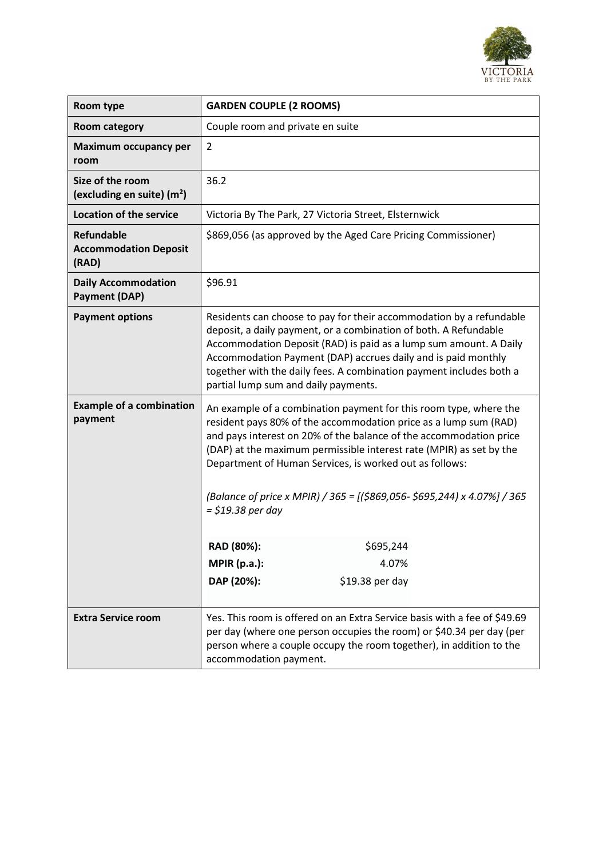

| Room type                                                  | <b>GARDEN COUPLE (2 ROOMS)</b>                                                                                                                                                                                                                                                                                                                                                                                                                                                                              |
|------------------------------------------------------------|-------------------------------------------------------------------------------------------------------------------------------------------------------------------------------------------------------------------------------------------------------------------------------------------------------------------------------------------------------------------------------------------------------------------------------------------------------------------------------------------------------------|
| <b>Room category</b>                                       | Couple room and private en suite                                                                                                                                                                                                                                                                                                                                                                                                                                                                            |
| Maximum occupancy per<br>room                              | $\overline{2}$                                                                                                                                                                                                                                                                                                                                                                                                                                                                                              |
| Size of the room<br>(excluding en suite) $(m2)$            | 36.2                                                                                                                                                                                                                                                                                                                                                                                                                                                                                                        |
| <b>Location of the service</b>                             | Victoria By The Park, 27 Victoria Street, Elsternwick                                                                                                                                                                                                                                                                                                                                                                                                                                                       |
| <b>Refundable</b><br><b>Accommodation Deposit</b><br>(RAD) | \$869,056 (as approved by the Aged Care Pricing Commissioner)                                                                                                                                                                                                                                                                                                                                                                                                                                               |
| <b>Daily Accommodation</b><br><b>Payment (DAP)</b>         | \$96.91                                                                                                                                                                                                                                                                                                                                                                                                                                                                                                     |
| <b>Payment options</b>                                     | Residents can choose to pay for their accommodation by a refundable<br>deposit, a daily payment, or a combination of both. A Refundable<br>Accommodation Deposit (RAD) is paid as a lump sum amount. A Daily<br>Accommodation Payment (DAP) accrues daily and is paid monthly<br>together with the daily fees. A combination payment includes both a<br>partial lump sum and daily payments.                                                                                                                |
| <b>Example of a combination</b><br>payment                 | An example of a combination payment for this room type, where the<br>resident pays 80% of the accommodation price as a lump sum (RAD)<br>and pays interest on 20% of the balance of the accommodation price<br>(DAP) at the maximum permissible interest rate (MPIR) as set by the<br>Department of Human Services, is worked out as follows:<br>(Balance of price x MPIR) / 365 = [(\$869,056- \$695,244) x 4.07%] / 365<br>$=$ \$19.38 per day<br>\$695,244<br>RAD (80%):<br><b>MPIR (p.a.):</b><br>4.07% |
|                                                            | DAP (20%):<br>\$19.38 per day                                                                                                                                                                                                                                                                                                                                                                                                                                                                               |
| <b>Extra Service room</b>                                  | Yes. This room is offered on an Extra Service basis with a fee of \$49.69<br>per day (where one person occupies the room) or \$40.34 per day (per<br>person where a couple occupy the room together), in addition to the<br>accommodation payment.                                                                                                                                                                                                                                                          |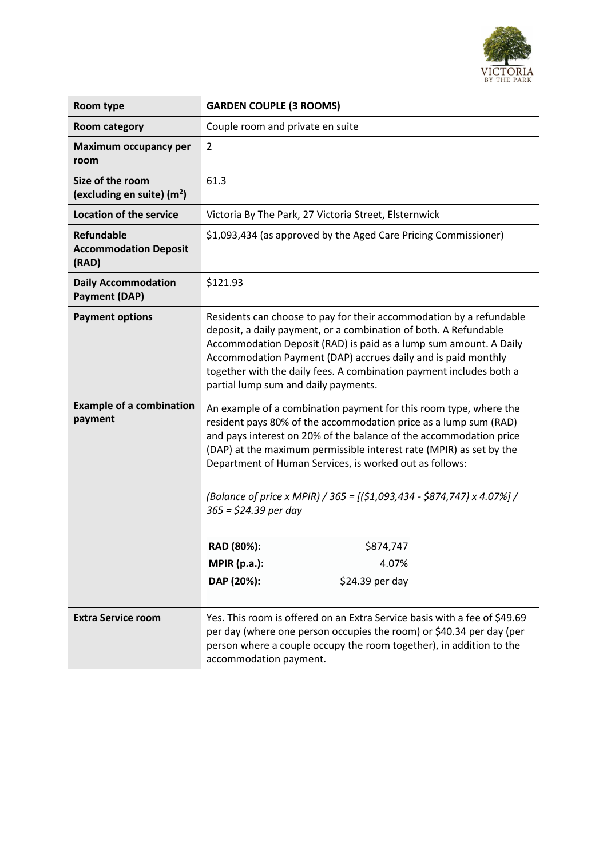

| Room type                                                  | <b>GARDEN COUPLE (3 ROOMS)</b>                                                                                                                                                                                                                                                                                                                                                                                                                                                                                                      |
|------------------------------------------------------------|-------------------------------------------------------------------------------------------------------------------------------------------------------------------------------------------------------------------------------------------------------------------------------------------------------------------------------------------------------------------------------------------------------------------------------------------------------------------------------------------------------------------------------------|
| <b>Room category</b>                                       | Couple room and private en suite                                                                                                                                                                                                                                                                                                                                                                                                                                                                                                    |
| Maximum occupancy per<br>room                              | $\overline{2}$                                                                                                                                                                                                                                                                                                                                                                                                                                                                                                                      |
| Size of the room<br>(excluding en suite) $(m2)$            | 61.3                                                                                                                                                                                                                                                                                                                                                                                                                                                                                                                                |
| <b>Location of the service</b>                             | Victoria By The Park, 27 Victoria Street, Elsternwick                                                                                                                                                                                                                                                                                                                                                                                                                                                                               |
| <b>Refundable</b><br><b>Accommodation Deposit</b><br>(RAD) | \$1,093,434 (as approved by the Aged Care Pricing Commissioner)                                                                                                                                                                                                                                                                                                                                                                                                                                                                     |
| <b>Daily Accommodation</b><br><b>Payment (DAP)</b>         | \$121.93                                                                                                                                                                                                                                                                                                                                                                                                                                                                                                                            |
| <b>Payment options</b>                                     | Residents can choose to pay for their accommodation by a refundable<br>deposit, a daily payment, or a combination of both. A Refundable<br>Accommodation Deposit (RAD) is paid as a lump sum amount. A Daily<br>Accommodation Payment (DAP) accrues daily and is paid monthly<br>together with the daily fees. A combination payment includes both a<br>partial lump sum and daily payments.                                                                                                                                        |
| <b>Example of a combination</b><br>payment                 | An example of a combination payment for this room type, where the<br>resident pays 80% of the accommodation price as a lump sum (RAD)<br>and pays interest on 20% of the balance of the accommodation price<br>(DAP) at the maximum permissible interest rate (MPIR) as set by the<br>Department of Human Services, is worked out as follows:<br>(Balance of price x MPIR) / 365 = $[(\frac{51}{093}, 434 - \frac{5874}{747}) \times 4.07\%]/$<br>$365 = $24.39$ per day<br>RAD (80%):<br>\$874,747<br><b>MPIR (p.a.):</b><br>4.07% |
|                                                            | DAP (20%):<br>\$24.39 per day                                                                                                                                                                                                                                                                                                                                                                                                                                                                                                       |
| <b>Extra Service room</b>                                  | Yes. This room is offered on an Extra Service basis with a fee of \$49.69<br>per day (where one person occupies the room) or \$40.34 per day (per<br>person where a couple occupy the room together), in addition to the<br>accommodation payment.                                                                                                                                                                                                                                                                                  |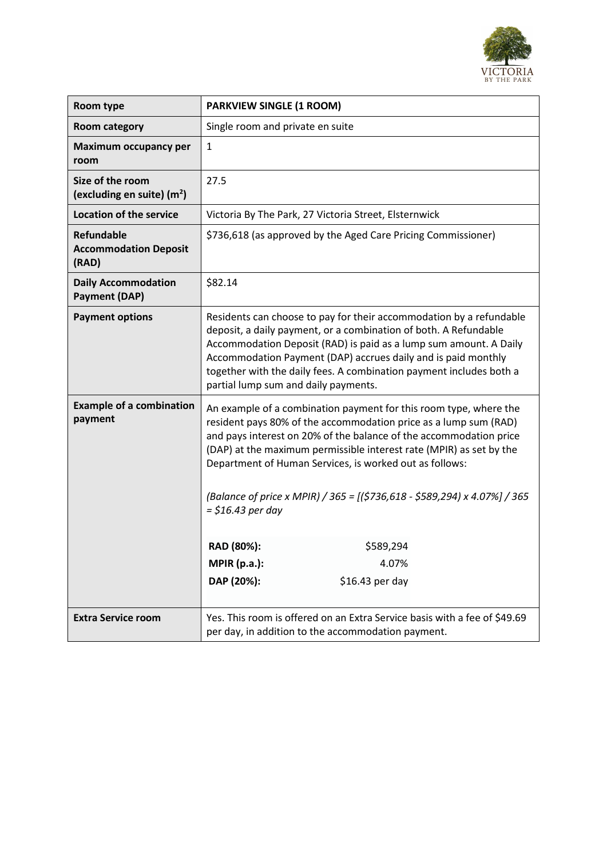

| Room type                                                  | <b>PARKVIEW SINGLE (1 ROOM)</b>                                                                                                                                                                                                                                                                                                                                                                                                                                                                              |
|------------------------------------------------------------|--------------------------------------------------------------------------------------------------------------------------------------------------------------------------------------------------------------------------------------------------------------------------------------------------------------------------------------------------------------------------------------------------------------------------------------------------------------------------------------------------------------|
| <b>Room category</b>                                       | Single room and private en suite                                                                                                                                                                                                                                                                                                                                                                                                                                                                             |
| Maximum occupancy per<br>room                              | $\mathbf{1}$                                                                                                                                                                                                                                                                                                                                                                                                                                                                                                 |
| Size of the room<br>(excluding en suite) $(m2)$            | 27.5                                                                                                                                                                                                                                                                                                                                                                                                                                                                                                         |
| <b>Location of the service</b>                             | Victoria By The Park, 27 Victoria Street, Elsternwick                                                                                                                                                                                                                                                                                                                                                                                                                                                        |
| <b>Refundable</b><br><b>Accommodation Deposit</b><br>(RAD) | \$736,618 (as approved by the Aged Care Pricing Commissioner)                                                                                                                                                                                                                                                                                                                                                                                                                                                |
| <b>Daily Accommodation</b><br><b>Payment (DAP)</b>         | \$82.14                                                                                                                                                                                                                                                                                                                                                                                                                                                                                                      |
| <b>Payment options</b>                                     | Residents can choose to pay for their accommodation by a refundable<br>deposit, a daily payment, or a combination of both. A Refundable<br>Accommodation Deposit (RAD) is paid as a lump sum amount. A Daily<br>Accommodation Payment (DAP) accrues daily and is paid monthly<br>together with the daily fees. A combination payment includes both a<br>partial lump sum and daily payments.                                                                                                                 |
| <b>Example of a combination</b><br>payment                 | An example of a combination payment for this room type, where the<br>resident pays 80% of the accommodation price as a lump sum (RAD)<br>and pays interest on 20% of the balance of the accommodation price<br>(DAP) at the maximum permissible interest rate (MPIR) as set by the<br>Department of Human Services, is worked out as follows:<br>(Balance of price x MPIR) / 365 = [(\$736,618 - \$589,294) x 4.07%] / 365<br>$=$ \$16.43 per day<br>RAD (80%):<br>\$589,294<br><b>MPIR (p.a.):</b><br>4.07% |
|                                                            | DAP (20%):<br>\$16.43 per day                                                                                                                                                                                                                                                                                                                                                                                                                                                                                |
| <b>Extra Service room</b>                                  | Yes. This room is offered on an Extra Service basis with a fee of \$49.69<br>per day, in addition to the accommodation payment.                                                                                                                                                                                                                                                                                                                                                                              |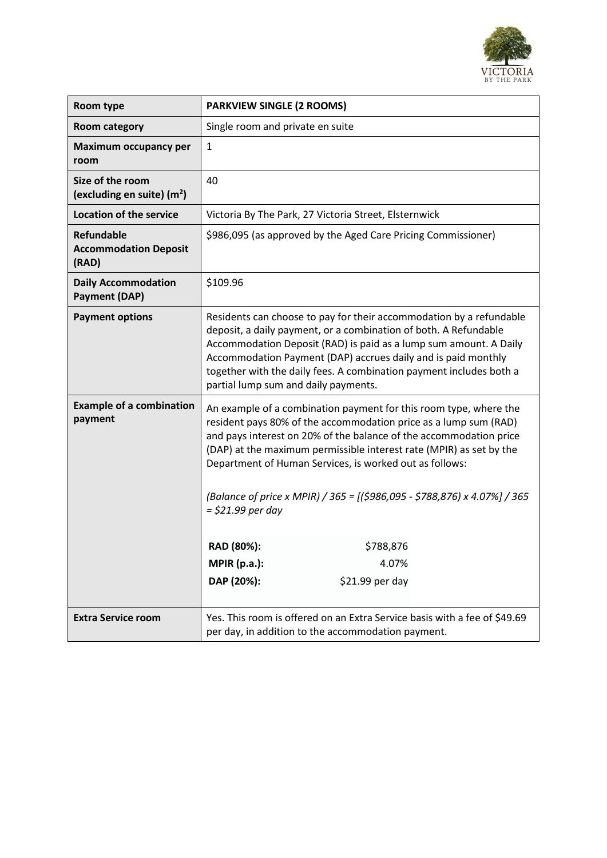

| Room type                                                  | <b>PARKVIEW SINGLE (2 ROOMS)</b>                                                                                                                                                                                                                                                                                                                                                                                                                                                                                                              |
|------------------------------------------------------------|-----------------------------------------------------------------------------------------------------------------------------------------------------------------------------------------------------------------------------------------------------------------------------------------------------------------------------------------------------------------------------------------------------------------------------------------------------------------------------------------------------------------------------------------------|
| <b>Room category</b>                                       | Single room and private en suite                                                                                                                                                                                                                                                                                                                                                                                                                                                                                                              |
| <b>Maximum occupancy per</b><br>room                       | $\mathbf{1}$                                                                                                                                                                                                                                                                                                                                                                                                                                                                                                                                  |
| Size of the room<br>(excluding en suite) $(m2)$            | 40                                                                                                                                                                                                                                                                                                                                                                                                                                                                                                                                            |
| <b>Location of the service</b>                             | Victoria By The Park, 27 Victoria Street, Elsternwick                                                                                                                                                                                                                                                                                                                                                                                                                                                                                         |
| <b>Refundable</b><br><b>Accommodation Deposit</b><br>(RAD) | \$986,095 (as approved by the Aged Care Pricing Commissioner)                                                                                                                                                                                                                                                                                                                                                                                                                                                                                 |
| <b>Daily Accommodation</b><br><b>Payment (DAP)</b>         | \$109.96                                                                                                                                                                                                                                                                                                                                                                                                                                                                                                                                      |
| <b>Payment options</b>                                     | Residents can choose to pay for their accommodation by a refundable<br>deposit, a daily payment, or a combination of both. A Refundable<br>Accommodation Deposit (RAD) is paid as a lump sum amount. A Daily<br>Accommodation Payment (DAP) accrues daily and is paid monthly<br>together with the daily fees. A combination payment includes both a<br>partial lump sum and daily payments.                                                                                                                                                  |
| <b>Example of a combination</b><br>payment                 | An example of a combination payment for this room type, where the<br>resident pays 80% of the accommodation price as a lump sum (RAD)<br>and pays interest on 20% of the balance of the accommodation price<br>(DAP) at the maximum permissible interest rate (MPIR) as set by the<br>Department of Human Services, is worked out as follows:<br>(Balance of price x MPIR) / 365 = [(\$986,095 - \$788,876) x 4.07%] / 365<br>$=$ \$21.99 per day<br>RAD (80%):<br>\$788,876<br><b>MPIR (p.a.):</b><br>4.07%<br>DAP (20%):<br>\$21.99 per day |
| <b>Extra Service room</b>                                  |                                                                                                                                                                                                                                                                                                                                                                                                                                                                                                                                               |
|                                                            | Yes. This room is offered on an Extra Service basis with a fee of \$49.69<br>per day, in addition to the accommodation payment.                                                                                                                                                                                                                                                                                                                                                                                                               |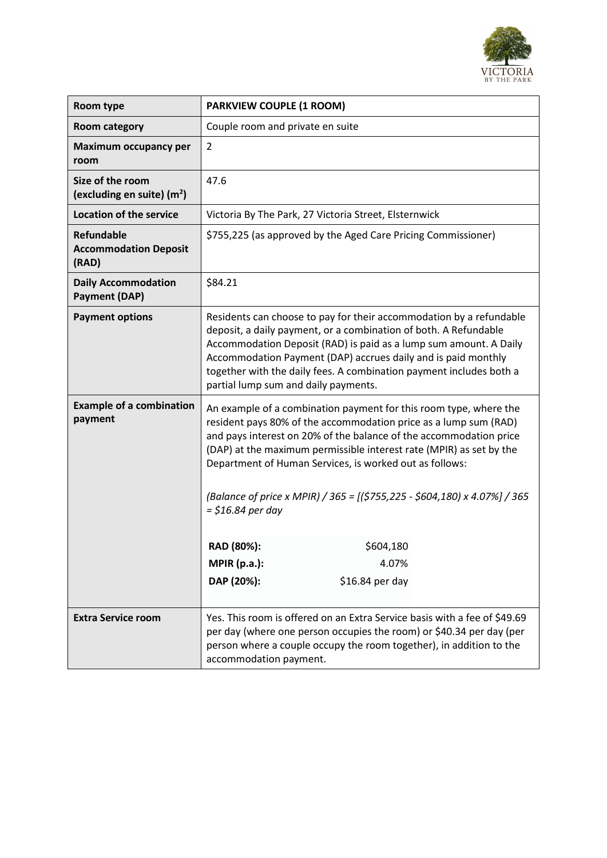

| Room type                                                  | <b>PARKVIEW COUPLE (1 ROOM)</b>                                                                                                                                                                                                                                                                                                                                                                                                                                              |
|------------------------------------------------------------|------------------------------------------------------------------------------------------------------------------------------------------------------------------------------------------------------------------------------------------------------------------------------------------------------------------------------------------------------------------------------------------------------------------------------------------------------------------------------|
| <b>Room category</b>                                       | Couple room and private en suite                                                                                                                                                                                                                                                                                                                                                                                                                                             |
| Maximum occupancy per<br>room                              | $\overline{2}$                                                                                                                                                                                                                                                                                                                                                                                                                                                               |
| Size of the room<br>(excluding en suite) $(m2)$            | 47.6                                                                                                                                                                                                                                                                                                                                                                                                                                                                         |
| <b>Location of the service</b>                             | Victoria By The Park, 27 Victoria Street, Elsternwick                                                                                                                                                                                                                                                                                                                                                                                                                        |
| <b>Refundable</b><br><b>Accommodation Deposit</b><br>(RAD) | \$755,225 (as approved by the Aged Care Pricing Commissioner)                                                                                                                                                                                                                                                                                                                                                                                                                |
| <b>Daily Accommodation</b><br><b>Payment (DAP)</b>         | \$84.21                                                                                                                                                                                                                                                                                                                                                                                                                                                                      |
| <b>Payment options</b>                                     | Residents can choose to pay for their accommodation by a refundable<br>deposit, a daily payment, or a combination of both. A Refundable<br>Accommodation Deposit (RAD) is paid as a lump sum amount. A Daily<br>Accommodation Payment (DAP) accrues daily and is paid monthly<br>together with the daily fees. A combination payment includes both a<br>partial lump sum and daily payments.                                                                                 |
| <b>Example of a combination</b><br>payment                 | An example of a combination payment for this room type, where the<br>resident pays 80% of the accommodation price as a lump sum (RAD)<br>and pays interest on 20% of the balance of the accommodation price<br>(DAP) at the maximum permissible interest rate (MPIR) as set by the<br>Department of Human Services, is worked out as follows:<br>(Balance of price x MPIR) / 365 = [(\$755,225 - \$604,180) x 4.07%] / 365<br>$=$ \$16.84 per day<br>\$604,180<br>RAD (80%): |
|                                                            | <b>MPIR (p.a.):</b><br>4.07%                                                                                                                                                                                                                                                                                                                                                                                                                                                 |
|                                                            | DAP (20%):<br>\$16.84 per day                                                                                                                                                                                                                                                                                                                                                                                                                                                |
| <b>Extra Service room</b>                                  | Yes. This room is offered on an Extra Service basis with a fee of \$49.69<br>per day (where one person occupies the room) or \$40.34 per day (per<br>person where a couple occupy the room together), in addition to the<br>accommodation payment.                                                                                                                                                                                                                           |